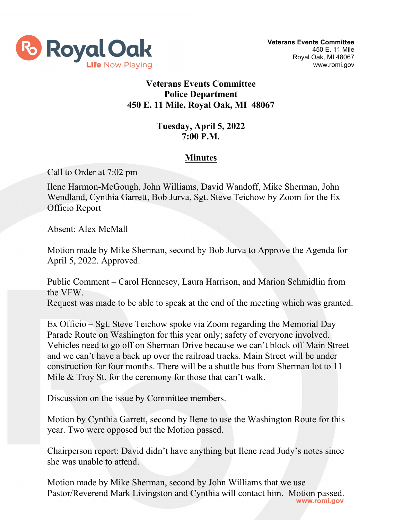

## **Veterans Events Committee Police Department 450 E. 11 Mile, Royal Oak, MI 48067**

## **Tuesday, April 5, 2022 7:00 P.M.**

## **Minutes**

Call to Order at 7:02 pm

Ilene Harmon-McGough, John Williams, David Wandoff, Mike Sherman, John Wendland, Cynthia Garrett, Bob Jurva, Sgt. Steve Teichow by Zoom for the Ex Officio Report

Absent: Alex McMall

Motion made by Mike Sherman, second by Bob Jurva to Approve the Agenda for April 5, 2022. Approved.

Public Comment – Carol Hennesey, Laura Harrison, and Marion Schmidlin from the VFW.

Request was made to be able to speak at the end of the meeting which was granted.

Ex Officio – Sgt. Steve Teichow spoke via Zoom regarding the Memorial Day Parade Route on Washington for this year only; safety of everyone involved. Vehicles need to go off on Sherman Drive because we can't block off Main Street and we can't have a back up over the railroad tracks. Main Street will be under construction for four months. There will be a shuttle bus from Sherman lot to 11 Mile & Troy St. for the ceremony for those that can't walk.

Discussion on the issue by Committee members.

Motion by Cynthia Garrett, second by Ilene to use the Washington Route for this year. Two were opposed but the Motion passed.

Chairperson report: David didn't have anything but Ilene read Judy's notes since she was unable to attend.

Motion made by Mike Sherman, second by John Williams that we use Pastor/Reverend Mark Livingston and Cynthia will contact him. Motion passed.<br>www.romi.gov